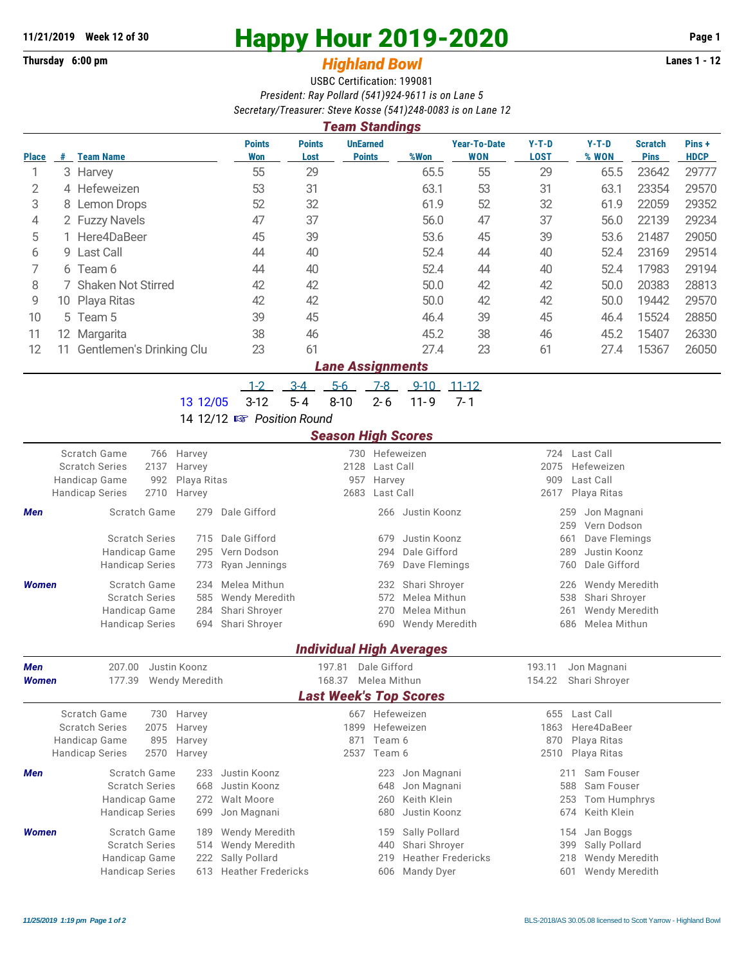## **Thursday 6:00 pm** *Highland Bowl* **Lanes 1 - 12**

# **11/21/2019 Week 12 of 30 Happy Hour 2019-2020 Page 1**

## USBC Certification: 199081 *President: Ray Pollard (541)924-9611 is on Lane 5 Secretary/Treasurer: Steve Kosse (541)248-0083 is on Lane 12*

| <b>Team Standings</b>   |                                                     |                          |                      |                       |                                  |      |                                   |                 |                  |                               |                      |  |
|-------------------------|-----------------------------------------------------|--------------------------|----------------------|-----------------------|----------------------------------|------|-----------------------------------|-----------------|------------------|-------------------------------|----------------------|--|
| <b>Place</b>            | #                                                   | <b>Team Name</b>         | <b>Points</b><br>Won | <b>Points</b><br>Lost | <b>UnEarned</b><br><b>Points</b> | %Won | <b>Year-To-Date</b><br><b>WON</b> | $Y-T-D$<br>LOST | $Y-T-D$<br>% WON | <b>Scratch</b><br><b>Pins</b> | Pins+<br><b>HDCP</b> |  |
|                         |                                                     | 3 Harvey                 | 55                   | 29                    |                                  | 65.5 | 55                                | 29              | 65.5             | 23642                         | 29777                |  |
| 2                       |                                                     | 4 Hefeweizen             | 53                   | 31                    |                                  | 63.1 | 53                                | 31              | 63.1             | 23354                         | 29570                |  |
| 3                       |                                                     | 8 Lemon Drops            | 52                   | 32                    |                                  | 61.9 | 52                                | 32              | 61.9             | 22059                         | 29352                |  |
| 4                       |                                                     | 2 Fuzzy Navels           | 47                   | 37                    |                                  | 56.0 | 47                                | 37              | 56.0             | 22139                         | 29234                |  |
| 5                       |                                                     | 1 Here4DaBeer            | 45                   | 39                    |                                  | 53.6 | 45                                | 39              | 53.6             | 21487                         | 29050                |  |
| 6                       |                                                     | 9 Last Call              | 44                   | 40                    |                                  | 52.4 | 44                                | 40              | 52.4             | 23169                         | 29514                |  |
|                         |                                                     | 6 Team 6                 | 44                   | 40                    |                                  | 52.4 | 44                                | 40              | 52.4             | 17983                         | 29194                |  |
| 8                       |                                                     | 7 Shaken Not Stirred     | 42                   | 42                    |                                  | 50.0 | 42                                | 42              | 50.0             | 20383                         | 28813                |  |
| 9                       |                                                     | 10 Playa Ritas           | 42                   | 42                    |                                  | 50.0 | 42                                | 42              | 50.0             | 19442                         | 29570                |  |
| 10                      |                                                     | 5 Team 5                 | 39                   | 45                    |                                  | 46.4 | 39                                | 45              | 46.4             | 15524                         | 28850                |  |
| 11                      |                                                     | 12 Margarita             | 38                   | 46                    |                                  | 45.2 | 38                                | 46              | 45.2             | 15407                         | 26330                |  |
| 12                      | 11                                                  | Gentlemen's Drinking Clu | 23                   | 61                    |                                  | 27.4 | 23                                | 61              | 27.4             | 15367                         | 26050                |  |
| <b>Lane Assignments</b> |                                                     |                          |                      |                       |                                  |      |                                   |                 |                  |                               |                      |  |
|                         | $1-2$<br>$3 - 4$<br>7-8<br>9-10<br>$5 - 6$<br>11-12 |                          |                      |                       |                                  |      |                                   |                 |                  |                               |                      |  |

13 12/05 3-12 5-4 8-10 2-6 11-9 7-1

14 12/12  $\mathbb{R}$  Position Round

### *Season High Scores*

|              | Scratch Game<br>766<br><b>Scratch Series</b><br>2137<br>Handicap Game<br>992<br><b>Handicap Series</b><br>2710 | Harvey<br>Harvey<br>Playa Ritas<br>Harvey |                                                                                                   | 730 Hefeweizen<br>2128 Last Call<br>957 Harvey<br>2683 Last Call |                                                                                  | 724<br>2075<br>909<br>2617 | Last Call<br>Hefeweizen<br>Last Call<br>Playa Ritas                                                                      |  |
|--------------|----------------------------------------------------------------------------------------------------------------|-------------------------------------------|---------------------------------------------------------------------------------------------------|------------------------------------------------------------------|----------------------------------------------------------------------------------|----------------------------|--------------------------------------------------------------------------------------------------------------------------|--|
| Men          | Scratch Game<br><b>Scratch Series</b><br>Handicap Game                                                         | 279                                       | Dale Gifford<br>715 Dale Gifford<br>295 Vern Dodson                                               | 266<br>679<br>294                                                | Justin Koonz<br>Justin Koonz<br>Dale Gifford                                     |                            | Jon Magnani<br>259<br>Vern Dodson<br>259<br>Dave Flemings<br>661<br>Justin Koonz<br>289                                  |  |
| <b>Women</b> | <b>Handicap Series</b><br>Scratch Game<br><b>Scratch Series</b><br>Handicap Game<br><b>Handicap Series</b>     | 234                                       | 773 Ryan Jennings<br>Melea Mithun<br>585 Wendy Meredith<br>284 Shari Shroyer<br>694 Shari Shroyer | 769<br>232<br>572<br>270<br>690                                  | Dave Flemings<br>Shari Shroyer<br>Melea Mithun<br>Melea Mithun<br>Wendy Meredith |                            | 760 Dale Gifford<br><b>Wendy Meredith</b><br>226<br>Shari Shrover<br>538<br>Wendy Meredith<br>261<br>Melea Mithun<br>686 |  |

#### *Individual High Averages*

| <b>Men</b>   |                                      | 207.00<br>Justin Koonz   |            |                        | 197.81                        | Dale Gifford |                           | 193.11 | Jon Magnani                  |
|--------------|--------------------------------------|--------------------------|------------|------------------------|-------------------------------|--------------|---------------------------|--------|------------------------------|
| <b>Women</b> |                                      | Wendy Meredith<br>177.39 |            | 168.37                 |                               | Melea Mithun |                           | 154.22 | Shari Shrover                |
|              |                                      |                          |            |                        | <b>Last Week's Top Scores</b> |              |                           |        |                              |
|              | Scratch Game                         |                          | 730 Harvey |                        | 667                           |              | Hefeweizen                | 655    | Last Call                    |
|              | <b>Scratch Series</b><br>2075 Harvey |                          |            | 1899                   |                               |              | Hefeweizen                | 1863   | Here4DaBeer                  |
|              | Handicap Game<br>895                 |                          | Harvey     | 871                    |                               |              | Team 6                    |        | Playa Ritas                  |
|              | <b>Handicap Series</b>               | 2570                     | Harvey     |                        | 2537                          | Team 6       |                           | 2510   | Playa Ritas                  |
| <b>Men</b>   |                                      | Scratch Game             |            | 233 Justin Koonz       |                               | 223          | Jon Magnani               |        | Sam Fouser<br>211            |
|              | <b>Scratch Series</b>                |                          | 668        | Justin Koonz           |                               | 648          | Jon Magnani               |        | Sam Fouser<br>588            |
|              | Handicap Game                        |                          | 272        | Walt Moore             |                               | 260          | Keith Klein               |        | Tom Humphrys<br>253          |
|              | <b>Handicap Series</b>               |                          | 699        | Jon Magnani            |                               | 680          | Justin Koonz              |        | 674 Keith Klein              |
| <b>Women</b> |                                      | Scratch Game             | 189        | <b>Wendy Meredith</b>  |                               | 159          | Sally Pollard             |        | Jan Boggs<br>154             |
|              | <b>Scratch Series</b>                |                          |            | 514 Wendy Meredith     |                               | 440          | Shari Shroyer             |        | Sally Pollard<br>399         |
|              | Handicap Game                        |                          |            | 222 Sally Pollard      |                               | 219          | <b>Heather Fredericks</b> |        | <b>Wendy Meredith</b><br>218 |
|              | <b>Handicap Series</b>               |                          |            | 613 Heather Fredericks |                               | 606          | <b>Mandy Dyer</b>         |        | <b>Wendy Meredith</b><br>601 |